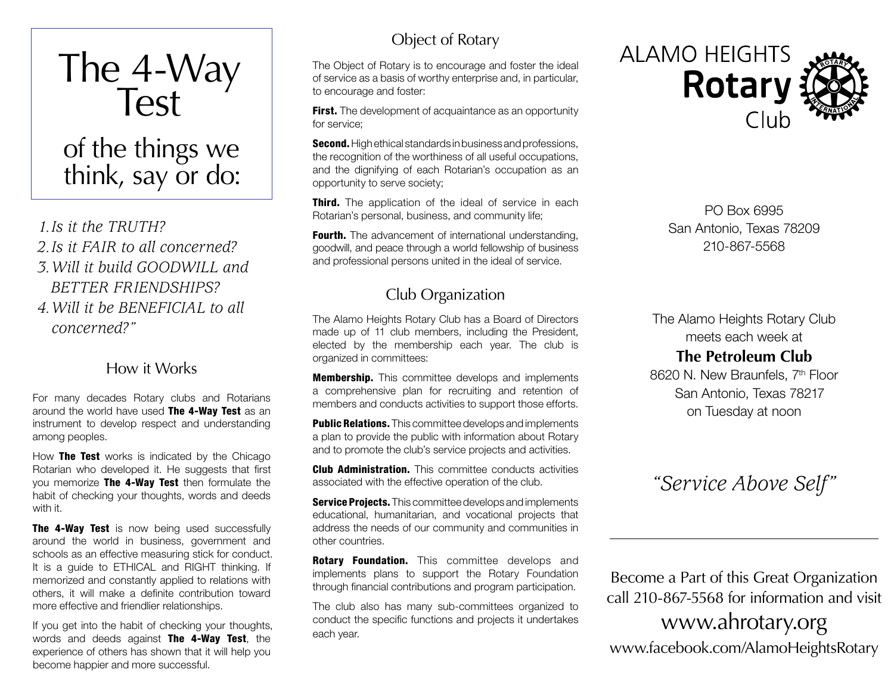

think, say or do:

*1.Is it the TRUTH? 2.Is it FAIR to all concerned? 3.Will it build GOODWILL and BETTER FRIENDSHIPS? 4.Will it be BENEFICIAL to all concerned?"*

#### How it Works

For many decades Rotary clubs and Rotarians around the world have used The 4-Wav Test as an instrument to develop respect and understanding among peoples.

How **The Test** works is indicated by the Chicago Rotarian who developed it. He suggests that first you memorize The 4-Way Test then formulate the habit of checking your thoughts, words and deeds with it.

**The 4-Way Test** is now being used successfully around the world in business, government and schools as an effective measuring stick for conduct. It is a guide to ETHICAL and RIGHT thinking. If memorized and constantly applied to relations with others, it will make a definite contribution toward more effective and friendlier relationships.

If you get into the habit of checking your thoughts, words and deeds against The 4-Way Test, the experience of others has shown that it will help you become happier and more successful.

## Object of Rotary

The Object of Rotary is to encourage and foster the ideal of service as a basis of worthy enterprise and, in particular, to encourage and foster:

**First.** The development of acquaintance as an opportunity for service;

**Second.** High ethical standards in business and professions, the recognition of the worthiness of all useful occupations, and the dignifying of each Rotarian's occupation as an opportunity to serve society;

**Third.** The application of the ideal of service in each Rotarian's personal, business, and community life;

**Fourth.** The advancement of international understanding. goodwill, and peace through a world fellowship of business and professional persons united in the ideal of service.

## Club Organization

The Alamo Heights Rotary Club has a Board of Directors made up of 11 club members, including the President, elected by the membership each year. The club is organized in committees:

**Membership.** This committee develops and implements a comprehensive plan for recruiting and retention of members and conducts activities to support those efforts.

**Public Relations.** This committee develops and implements a plan to provide the public with information about Rotary and to promote the club's service projects and activities.

**Club Administration.** This committee conducts activities associated with the effective operation of the club.

**Service Projects.** This committee develops and implements educational, humanitarian, and vocational projects that address the needs of our community and communities in other countries.

**Rotary Foundation.** This committee develops and implements plans to support the Rotary Foundation through financial contributions and program participation.

The club also has many sub-committees organized to conduct the specific functions and projects it undertakes each year.



PO Box 6995 San Antonio, Texas 78209 210-867-5568

The Alamo Heights Rotary Club meets each week at **The Petroleum Club**

8620 N. New Braunfels, 7th Floor San Antonio, Texas 78217 on Tuesday at noon

# *"Service Above Self"*

Become a Part of this Great Organization call 210-867-5568 for information and visit

www.ahrotary.org www.facebook.com/AlamoHeightsRotary